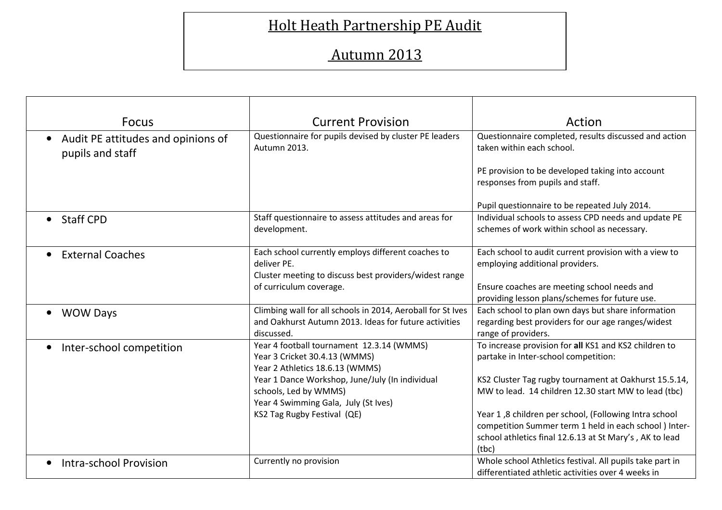## Holt Heath Partnership PE Audit

## Autumn 2013

| <b>Focus</b>                                                        | <b>Current Provision</b>                                                                                                                               | Action                                                                                                                                                                                    |
|---------------------------------------------------------------------|--------------------------------------------------------------------------------------------------------------------------------------------------------|-------------------------------------------------------------------------------------------------------------------------------------------------------------------------------------------|
| Audit PE attitudes and opinions of<br>$\bullet$<br>pupils and staff | Questionnaire for pupils devised by cluster PE leaders<br>Autumn 2013.                                                                                 | Questionnaire completed, results discussed and action<br>taken within each school.                                                                                                        |
|                                                                     |                                                                                                                                                        | PE provision to be developed taking into account<br>responses from pupils and staff.                                                                                                      |
|                                                                     |                                                                                                                                                        | Pupil questionnaire to be repeated July 2014.                                                                                                                                             |
| <b>Staff CPD</b><br>$\bullet$                                       | Staff questionnaire to assess attitudes and areas for<br>development.                                                                                  | Individual schools to assess CPD needs and update PE<br>schemes of work within school as necessary.                                                                                       |
| <b>External Coaches</b>                                             | Each school currently employs different coaches to<br>deliver PE.<br>Cluster meeting to discuss best providers/widest range<br>of curriculum coverage. | Each school to audit current provision with a view to<br>employing additional providers.<br>Ensure coaches are meeting school needs and<br>providing lesson plans/schemes for future use. |
| <b>WOW Days</b><br>$\bullet$                                        | Climbing wall for all schools in 2014, Aeroball for St Ives<br>and Oakhurst Autumn 2013. Ideas for future activities<br>discussed.                     | Each school to plan own days but share information<br>regarding best providers for our age ranges/widest<br>range of providers.                                                           |
| Inter-school competition                                            | Year 4 football tournament 12.3.14 (WMMS)<br>Year 3 Cricket 30.4.13 (WMMS)<br>Year 2 Athletics 18.6.13 (WMMS)                                          | To increase provision for all KS1 and KS2 children to<br>partake in Inter-school competition:                                                                                             |
|                                                                     | Year 1 Dance Workshop, June/July (In individual<br>schools, Led by WMMS)<br>Year 4 Swimming Gala, July (St Ives)                                       | KS2 Cluster Tag rugby tournament at Oakhurst 15.5.14,<br>MW to lead. 14 children 12.30 start MW to lead (tbc)                                                                             |
|                                                                     | KS2 Tag Rugby Festival (QE)                                                                                                                            | Year 1,8 children per school, (Following Intra school<br>competition Summer term 1 held in each school ) Inter-<br>school athletics final 12.6.13 at St Mary's, AK to lead<br>(tbc)       |
| Intra-school Provision                                              | Currently no provision                                                                                                                                 | Whole school Athletics festival. All pupils take part in<br>differentiated athletic activities over 4 weeks in                                                                            |